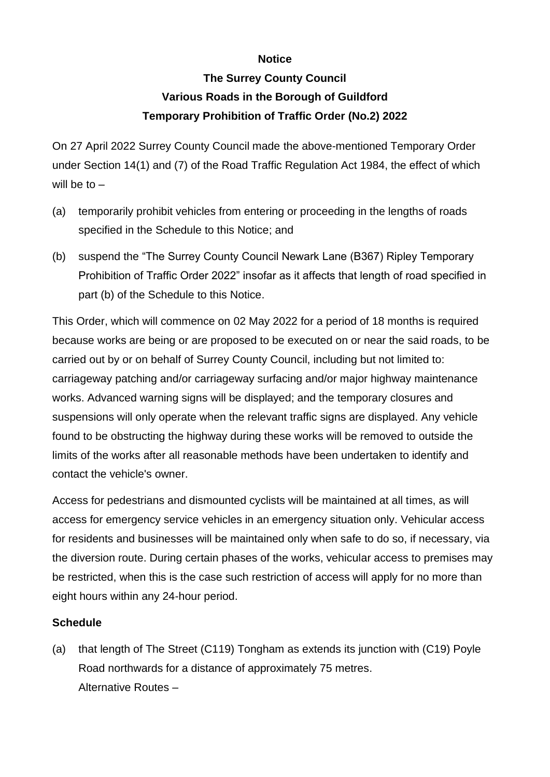## **Notice**

## **The Surrey County Council Various Roads in the Borough of Guildford Temporary Prohibition of Traffic Order (No.2) 2022**

On 27 April 2022 Surrey County Council made the above-mentioned Temporary Order under Section 14(1) and (7) of the Road Traffic Regulation Act 1984, the effect of which will be to  $-$ 

- (a) temporarily prohibit vehicles from entering or proceeding in the lengths of roads specified in the Schedule to this Notice; and
- (b) suspend the "The Surrey County Council Newark Lane (B367) Ripley Temporary Prohibition of Traffic Order 2022" insofar as it affects that length of road specified in part (b) of the Schedule to this Notice.

This Order, which will commence on 02 May 2022 for a period of 18 months is required because works are being or are proposed to be executed on or near the said roads, to be carried out by or on behalf of Surrey County Council, including but not limited to: carriageway patching and/or carriageway surfacing and/or major highway maintenance works. Advanced warning signs will be displayed; and the temporary closures and suspensions will only operate when the relevant traffic signs are displayed. Any vehicle found to be obstructing the highway during these works will be removed to outside the limits of the works after all reasonable methods have been undertaken to identify and contact the vehicle's owner.

Access for pedestrians and dismounted cyclists will be maintained at all times, as will access for emergency service vehicles in an emergency situation only. Vehicular access for residents and businesses will be maintained only when safe to do so, if necessary, via the diversion route. During certain phases of the works, vehicular access to premises may be restricted, when this is the case such restriction of access will apply for no more than eight hours within any 24-hour period.

## **Schedule**

(a) that length of The Street (C119) Tongham as extends its junction with (C19) Poyle Road northwards for a distance of approximately 75 metres. Alternative Routes –